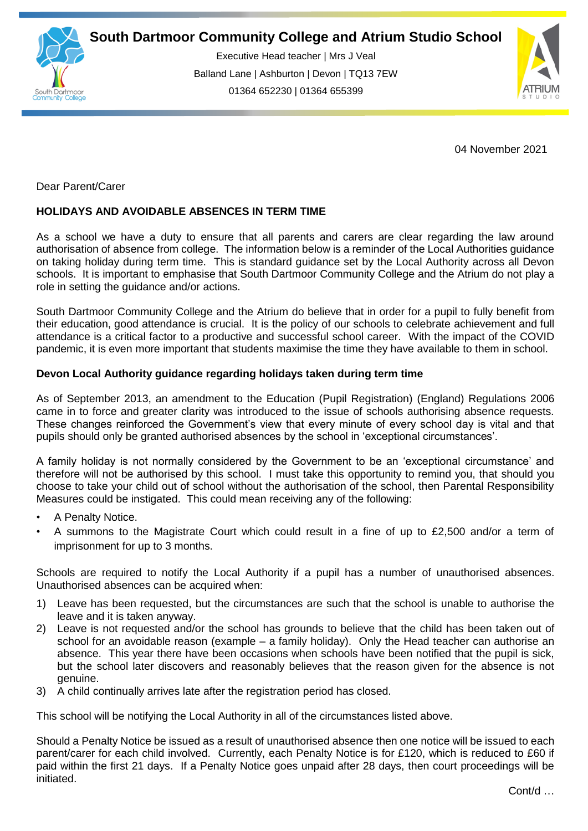

Executive Head teacher | Mrs J Veal Balland Lane | Ashburton | Devon | TQ13 7EW 01364 652230 | 01364 655399



04 November 2021

Dear Parent/Carer

## **HOLIDAYS AND AVOIDABLE ABSENCES IN TERM TIME**

As a school we have a duty to ensure that all parents and carers are clear regarding the law around authorisation of absence from college. The information below is a reminder of the Local Authorities guidance on taking holiday during term time. This is standard guidance set by the Local Authority across all Devon schools. It is important to emphasise that South Dartmoor Community College and the Atrium do not play a role in setting the guidance and/or actions.

South Dartmoor Community College and the Atrium do believe that in order for a pupil to fully benefit from their education, good attendance is crucial. It is the policy of our schools to celebrate achievement and full attendance is a critical factor to a productive and successful school career. With the impact of the COVID pandemic, it is even more important that students maximise the time they have available to them in school.

## **Devon Local Authority guidance regarding holidays taken during term time**

As of September 2013, an amendment to the Education (Pupil Registration) (England) Regulations 2006 came in to force and greater clarity was introduced to the issue of schools authorising absence requests. These changes reinforced the Government's view that every minute of every school day is vital and that pupils should only be granted authorised absences by the school in 'exceptional circumstances'.

A family holiday is not normally considered by the Government to be an 'exceptional circumstance' and therefore will not be authorised by this school. I must take this opportunity to remind you, that should you choose to take your child out of school without the authorisation of the school, then Parental Responsibility Measures could be instigated. This could mean receiving any of the following:

- A Penalty Notice.
- A summons to the Magistrate Court which could result in a fine of up to £2,500 and/or a term of imprisonment for up to 3 months.

Schools are required to notify the Local Authority if a pupil has a number of unauthorised absences. Unauthorised absences can be acquired when:

- 1) Leave has been requested, but the circumstances are such that the school is unable to authorise the leave and it is taken anyway.
- 2) Leave is not requested and/or the school has grounds to believe that the child has been taken out of school for an avoidable reason (example – a family holiday). Only the Head teacher can authorise an absence. This year there have been occasions when schools have been notified that the pupil is sick, but the school later discovers and reasonably believes that the reason given for the absence is not genuine.
- 3) A child continually arrives late after the registration period has closed.

This school will be notifying the Local Authority in all of the circumstances listed above.

Should a Penalty Notice be issued as a result of unauthorised absence then one notice will be issued to each parent/carer for each child involved. Currently, each Penalty Notice is for £120, which is reduced to £60 if paid within the first 21 days. If a Penalty Notice goes unpaid after 28 days, then court proceedings will be initiated.